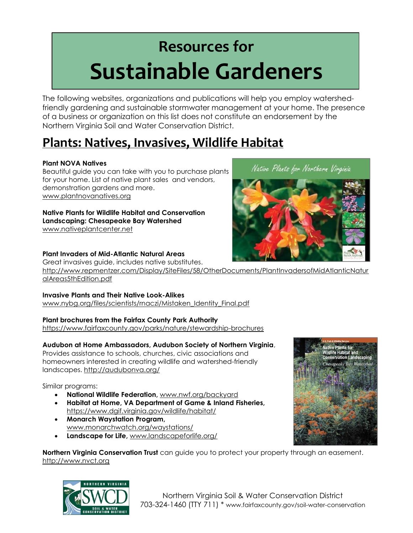# **Resources for Sustainable Gardeners**

The following websites, organizations and publications will help you employ watershedfriendly gardening and sustainable stormwater management at your home. The presence of a business or organization on this list does not constitute an endorsement by the Northern Virginia Soil and Water Conservation District.

# **Plants: Natives, Invasives, Wildlife Habitat**

#### **Plant NOVA Natives**

Beautiful guide you can take with you to purchase plants for your home. List of native plant sales and vendors, demonstration gardens and more. www.plantnovanatives.org

#### **Native Plants for Wildlife Habitat and Conservation Landscaping: Chesapeake Bay Watershed**  www.nativeplantcenter.net

#### **Plant Invaders of Mid-Atlantic Natural Areas**

Great invasives guide, includes native substitutes. http://www.repmentzer.com/Display/SiteFiles/58/OtherDocuments/PlantInvadersofMidAtlanticNatur alAreas5thEdition.pdf

#### **Invasive Plants and Their Native Look-Alikes**

www.nybg.org/files/scientists/maczi/Mistaken\_Identity\_Final.pdf

#### **Plant brochures from the Fairfax County Park Authority**

https://www.fairfaxcounty.gov/parks/nature/stewardship-brochures

#### **Audubon at Home Ambassadors, Audubon Society of Northern Virginia**,

Provides assistance to schools, churches, civic associations and homeowners interested in creating wildlife and watershed-friendly landscapes. http://audubonva.org/

Similar programs:

- **National Wildlife Federation,** www.nwf.org/backyard
- **Habitat at Home, VA Department of Game & Inland Fisheries,**  https://www.dgif.virginia.gov/wildlife/habitat/
- **Monarch Waystation Program,**  www.monarchwatch.org/waystations/
- **Landscape for Life,** www.landscapeforlife.org/

**Northern Virginia Conservation Trust** can guide you to protect your property through an easement. http://www.nvct.org







Native Plants for Northern Virginia